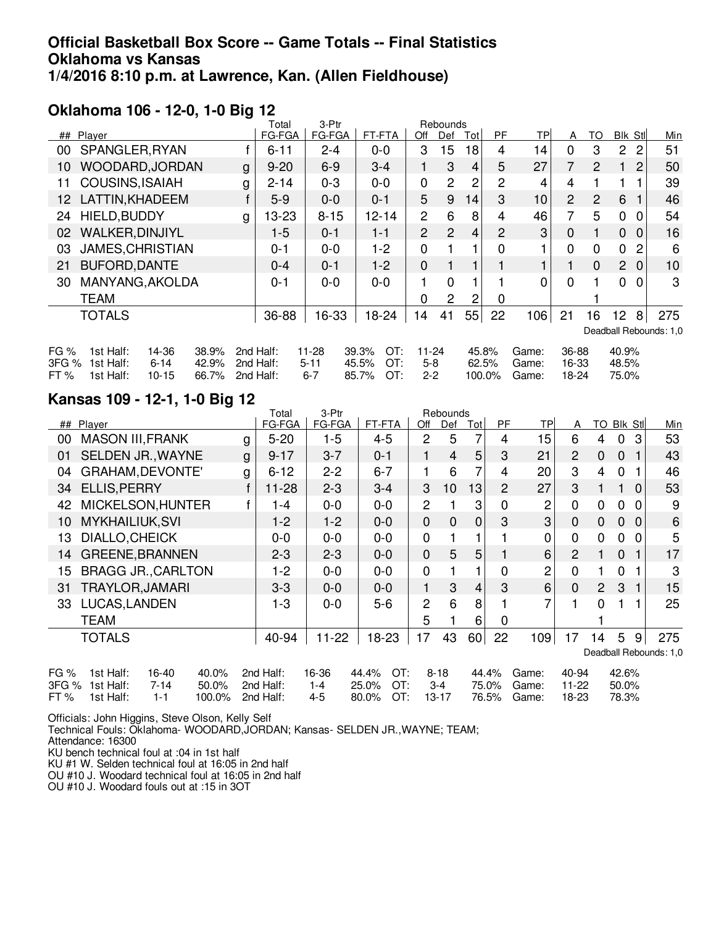## **Official Basketball Box Score -- Game Totals -- Final Statistics Oklahoma vs Kansas 1/4/2016 8:10 p.m. at Lawrence, Kan. (Allen Fieldhouse)**

## **Oklahoma 106 - 12-0, 1-0 Big 12**

|                         |                                                                       |                         | 3-Ptr<br>Rebounds<br>Total |                                     |                                  |                                              |                           |                |                |        |                         |                         |                |                         |                |     |
|-------------------------|-----------------------------------------------------------------------|-------------------------|----------------------------|-------------------------------------|----------------------------------|----------------------------------------------|---------------------------|----------------|----------------|--------|-------------------------|-------------------------|----------------|-------------------------|----------------|-----|
| ##                      | Player                                                                |                         |                            | FG-FGA                              | FG-FGA                           | FT-FTA                                       | Off                       | Def            | Tot            | PF.    | TP                      | A                       | TO             | Blk Stl                 |                | Min |
| 00                      | SPANGLER, RYAN                                                        |                         |                            | $6 - 11$                            | $2 - 4$                          | $0 - 0$                                      | 3                         | 15             | 18             | 4      | 14                      | 0                       | 3              | $\overline{c}$          | 2              | 51  |
| 10                      | WOODARD, JORDAN                                                       |                         | g                          | $9 - 20$                            | $6-9$                            | $3-4$                                        | 1                         | 3              | $\overline{4}$ | 5      | 27                      | $\overline{7}$          | $\overline{2}$ |                         | 2              | 50  |
| 11                      | <b>COUSINS, ISAIAH</b>                                                |                         | g                          | $2 - 14$                            | $0 - 3$                          | $0 - 0$                                      | $\mathbf 0$               | $\overline{2}$ | $\overline{2}$ | 2      | 4                       | 4                       |                |                         |                | 39  |
| 12                      | LATTIN, KHADEEM                                                       |                         |                            | $5-9$                               | $0 - 0$                          | $0 - 1$                                      | 5                         | 9              | 14             | 3      | 10 <sub>1</sub>         | 2                       | $\overline{2}$ | 6                       |                | 46  |
| 24                      | HIELD, BUDDY                                                          |                         | g                          | 13-23                               | $8 - 15$                         | $12 - 14$                                    | $\overline{2}$            | 6              | 8              | 4      | 46                      | 7                       | 5              | $\mathbf 0$             | $\Omega$       | 54  |
| 02                      | <b>WALKER, DINJIYL</b>                                                |                         |                            | $1-5$                               | $0 - 1$                          | $1 - 1$                                      | $\overline{2}$            | $\overline{2}$ | 4              | 2      | 3                       | $\mathbf{0}$            |                | $\mathbf 0$             | $\Omega$       | 16  |
| 03                      | <b>JAMES, CHRISTIAN</b>                                               |                         |                            | $0 - 1$                             | $0 - 0$                          | $1 - 2$                                      | $\mathbf 0$               |                |                | 0      |                         | $\mathbf{0}$            | $\mathbf 0$    | 0                       | $\overline{2}$ | 6   |
| 21                      | <b>BUFORD, DANTE</b>                                                  |                         |                            | 0-4                                 | $0 - 1$                          | $1-2$                                        | $\mathbf 0$               |                |                |        | 1                       |                         | $\mathbf 0$    | 2 <sup>1</sup>          | 0              | 10  |
| 30                      | MANYANG, AKOLDA                                                       |                         |                            | 0-1                                 | $0 - 0$                          | $0 - 0$                                      | 1                         | $\Omega$       |                |        | 0                       | $\Omega$                |                | 0                       | $\Omega$       | 3   |
|                         | <b>TEAM</b>                                                           |                         |                            |                                     |                                  |                                              | 0                         | $\overline{2}$ | 2              | 0      |                         |                         |                |                         |                |     |
|                         | <b>TOTALS</b>                                                         |                         |                            | 36-88                               | 16-33                            | 18-24                                        | 14                        | 41             | 55             | 22     | 106                     | 21                      | 16             | 12                      | 8              | 275 |
| Deadball Rebounds: 1,0  |                                                                       |                         |                            |                                     |                                  |                                              |                           |                |                |        |                         |                         |                |                         |                |     |
| FG $%$<br>3FG %<br>FT % | 14-36<br>1st Half:<br>1st Half:<br>$6 - 14$<br>1st Half:<br>$10 - 15$ | 38.9%<br>42.9%<br>66.7% |                            | 2nd Half:<br>2nd Half:<br>2nd Half: | $11 - 28$<br>$5 - 11$<br>$6 - 7$ | 39.3%<br>OT:<br>45.5%<br>OT:<br>OT:<br>85.7% | 11-24<br>$5-8$<br>$2 - 2$ |                | 45.8%<br>62.5% | 100.0% | Game:<br>Game:<br>Game: | 36-88<br>16-33<br>18-24 |                | 40.9%<br>48.5%<br>75.0% |                |     |
|                         |                                                                       |                         |                            |                                     |                                  |                                              |                           |                |                |        |                         |                         |                |                         |                |     |

## **Kansas 109 - 12-1, 1-0 Big 12**

|      |                             |   | Total     | 3-Ptr     |              |                | Rebounds       |                |       |           |                |                       |             |              |     |
|------|-----------------------------|---|-----------|-----------|--------------|----------------|----------------|----------------|-------|-----------|----------------|-----------------------|-------------|--------------|-----|
|      | ## Player                   |   | FG-FGA    | FG-FGA    | FT-FTA       | Off            | Def            | Totl           | PF.   | <b>TP</b> | A              | TO Blk Stl            |             |              | Min |
| 00   | <b>MASON III, FRANK</b>     | g | $5 - 20$  | $1-5$     | $4-5$        | 2              | 5              | 7              | 4     | 15        | 6              | 4                     | 0           | 3            | 53  |
| 01   | <b>SELDEN JR., WAYNE</b>    | g | $9 - 17$  | $3 - 7$   | $0 - 1$      |                | $\overline{4}$ | 5              | 3     | 21        | $\overline{2}$ | 0                     | $\mathbf 0$ | $\mathbf{1}$ | 43  |
| 04   | GRAHAM, DEVONTE'            | g | $6 - 12$  | $2 - 2$   | $6 - 7$      |                | 6              | 7              | 4     | 20        | 3              | 4                     | $\mathbf 0$ |              | 46  |
| 34   | <b>ELLIS, PERRY</b>         |   | $11 - 28$ | $2 - 3$   | $3-4$        | 3              | 10             | 13             | 2     | 27        | 3              |                       | 1.          | $\Omega$     | 53  |
| 42   | MICKELSON, HUNTER           |   | $-4$      | $0-0$     | $0 - 0$      | $\overline{2}$ |                | 3              | 0     | 2         | $\mathbf 0$    | 0                     | $\Omega$    | $\Omega$     | 9   |
| 10   | <b>MYKHAILIUK, SVI</b>      |   | $1-2$     | $1-2$     | $0 - 0$      | 0              | $\mathbf{0}$   | $\mathbf{0}$   | 3     | 3         | $\mathbf 0$    | 0                     | $\mathbf 0$ | $\Omega$     | 6   |
| 13   | DIALLO, CHEICK              |   | $0 - 0$   | $0 - 0$   | $0 - 0$      | 0              |                | 1              |       | 0         | 0              | 0                     | 0           | $\Omega$     | 5   |
| 14   | <b>GREENE, BRANNEN</b>      |   | $2 - 3$   | $2 - 3$   | $0 - 0$      | 0              | 5              | 5              |       | 6         | $\overline{2}$ |                       | $\mathbf 0$ | $\mathbf{1}$ | 17  |
| 15   | <b>BRAGG JR., CARLTON</b>   |   | 1-2       | $0 - 0$   | $0 - 0$      | $\mathbf 0$    |                | 1              | 0     | 2         | $\mathbf 0$    |                       | 0           | 1            | 3   |
| 31   | <b>TRAYLOR, JAMARI</b>      |   | $3-3$     | $0 - 0$   | $0 - 0$      | $\mathbf{1}$   | 3              | $\overline{4}$ | 3     | 6         | $\mathbf 0$    | $\mathbf{2}^{\prime}$ | 3           | $\mathbf{1}$ | 15  |
| 33   | LUCAS, LANDEN               |   | 1-3       | $0 - 0$   | $5-6$        | $\overline{c}$ | 6              | 8              |       | 7         | 1              | $\Omega$              | 1           | 1            | 25  |
|      | <b>TEAM</b>                 |   |           |           |              | 5              |                | 6              | 0     |           |                |                       |             |              |     |
|      | <b>TOTALS</b>               |   | 40-94     | $11 - 22$ | 18-23        | 17             | 43             | 60             | 22    | 109       | 17             | 14                    | 5           | 9            | 275 |
|      | Deadball Rebounds: 1,0      |   |           |           |              |                |                |                |       |           |                |                       |             |              |     |
| FG % | 1st Half:<br>16-40<br>40.0% |   | 2nd Half: | 16-36     | OT:<br>44.4% |                | $8 - 18$       |                | 44.4% | Game:     | 40-94          |                       | 42.6%       |              |     |

| 3FG % 1st Half: 7-14 50.0% 2nd Half: 1-4 25.0% OT: 3-4 75.0% Game: 11-22 50.0%  |  |  |  |  |  |  |
|---------------------------------------------------------------------------------|--|--|--|--|--|--|
| FT % 1st Half: 1-1 100.0% 2nd Half: 4-5 80.0% OT: 13-17 76.5% Game: 18-23 78.3% |  |  |  |  |  |  |

Officials: John Higgins, Steve Olson, Kelly Self

Technical Fouls: Oklahoma- WOODARD,JORDAN; Kansas- SELDEN JR.,WAYNE; TEAM; Attendance: 16300

KU bench technical foul at :04 in 1st half

KU #1 W. Selden technical foul at 16:05 in 2nd half

OU #10 J. Woodard technical foul at 16:05 in 2nd half

OU #10 J. Woodard fouls out at :15 in 3OT